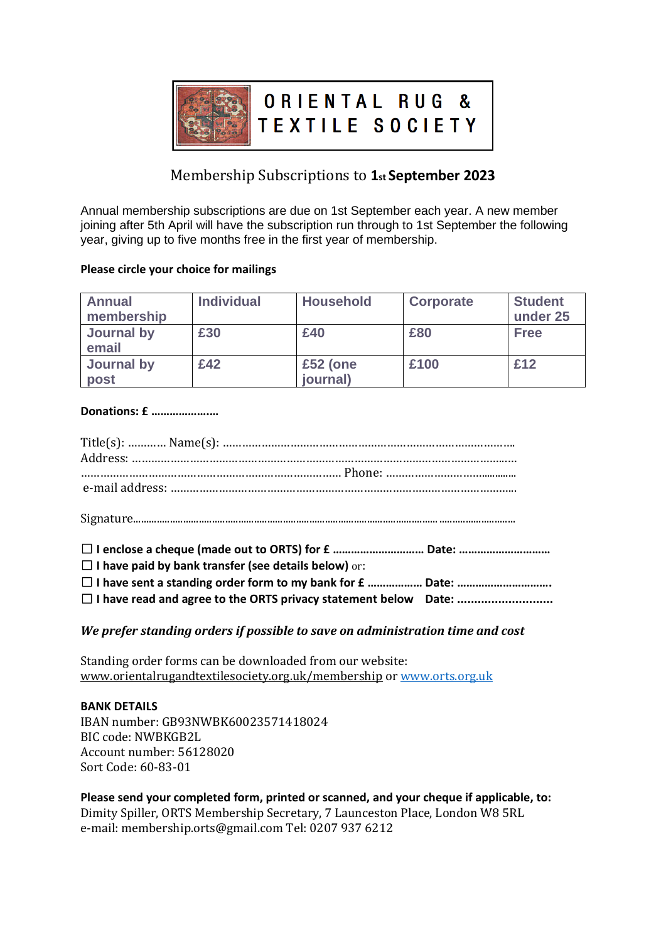

# Membership Subscriptions to **1st September 2023**

Annual membership subscriptions are due on 1st September each year. A new member joining after 5th April will have the subscription run through to 1st September the following year, giving up to five months free in the first year of membership.

### **Please circle your choice for mailings**

| <b>Annual</b><br>membership | <b>Individual</b> | <b>Household</b>     | <b>Corporate</b> | <b>Student</b><br>under 25 |
|-----------------------------|-------------------|----------------------|------------------|----------------------------|
| Journal by<br>email         | £30               | £40                  | £80              | <b>Free</b>                |
| Journal by<br>post          | £42               | £52 (one<br>journal) | £100             | £12                        |

### **Donations: £ ……………….…**

| $\Box$ I have paid by bank transfer (see details below) or: |  |
|-------------------------------------------------------------|--|
| □ I have sent a standing order form to my bank for £  Date: |  |

### *We prefer standing orders if possible to save on administration time and cost*

Standing order forms can be downloaded from our website: www.orientalrugandtextilesociety.org.uk/membership or [www.orts.org.uk](http://www.orts.org.uk/)

#### **BANK DETAILS**

IBAN number: GB93NWBK60023571418024 BIC code: NWBKGB2L Account number: 56128020 Sort Code: 60-83-01

**Please send your completed form, printed or scanned, and your cheque if applicable, to:**  Dimity Spiller, ORTS Membership Secretary, 7 Launceston Place, London W8 5RL e-mail: membership.orts@gmail.com Tel: 0207 937 6212